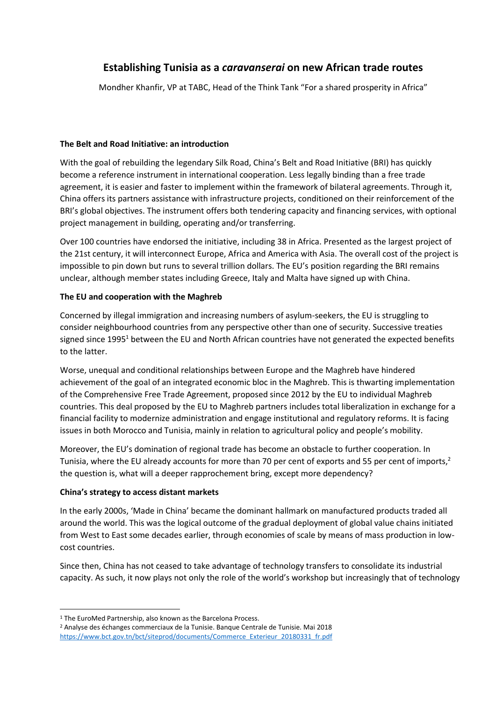# **Establishing Tunisia as a** *caravanserai* **on new African trade routes**

Mondher Khanfir, VP at TABC, Head of the Think Tank "For a shared prosperity in Africa"

#### **The Belt and Road Initiative: an introduction**

With the goal of rebuilding the legendary Silk Road, China's Belt and Road Initiative (BRI) has quickly become a reference instrument in international cooperation. Less legally binding than a free trade agreement, it is easier and faster to implement within the framework of bilateral agreements. Through it, China offers its partners assistance with infrastructure projects, conditioned on their reinforcement of the BRI's global objectives. The instrument offers both tendering capacity and financing services, with optional project management in building, operating and/or transferring.

Over 100 countries have endorsed the initiative, including 38 in Africa. Presented as the largest project of the 21st century, it will interconnect Europe, Africa and America with Asia. The overall cost of the project is impossible to pin down but runs to several trillion dollars. The EU's position regarding the BRI remains unclear, although member states including Greece, Italy and Malta have signed up with China.

## **The EU and cooperation with the Maghreb**

Concerned by illegal immigration and increasing numbers of asylum-seekers, the EU is struggling to consider neighbourhood countries from any perspective other than one of security. Successive treaties signed since 1995<sup>1</sup> between the EU and North African countries have not generated the expected benefits to the latter.

Worse, unequal and conditional relationships between Europe and the Maghreb have hindered achievement of the goal of an integrated economic bloc in the Maghreb. This is thwarting implementation of the Comprehensive Free Trade Agreement, proposed since 2012 by the EU to individual Maghreb countries. This deal proposed by the EU to Maghreb partners includes total liberalization in exchange for a financial facility to modernize administration and engage institutional and regulatory reforms. It is facing issues in both Morocco and Tunisia, mainly in relation to agricultural policy and people's mobility.

Moreover, the EU's domination of regional trade has become an obstacle to further cooperation. In Tunisia, where the EU already accounts for more than 70 per cent of exports and 55 per cent of imports,<sup>2</sup> the question is, what will a deeper rapprochement bring, except more dependency?

## **China's strategy to access distant markets**

In the early 2000s, 'Made in China' became the dominant hallmark on manufactured products traded all around the world. This was the logical outcome of the gradual deployment of global value chains initiated from West to East some decades earlier, through economies of scale by means of mass production in lowcost countries.

Since then, China has not ceased to take advantage of technology transfers to consolidate its industrial capacity. As such, it now plays not only the role of the world's workshop but increasingly that of technology

<sup>&</sup>lt;sup>1</sup> The EuroMed Partnership, also known as the Barcelona Process.

<sup>2</sup> Analyse des échanges commerciaux de la Tunisie. Banque Centrale de Tunisie. Mai 2018 [https://www.bct.gov.tn/bct/siteprod/documents/Commerce\\_Exterieur\\_20180331\\_fr.pdf](https://www.bct.gov.tn/bct/siteprod/documents/Commerce_Exterieur_20180331_fr.pdf)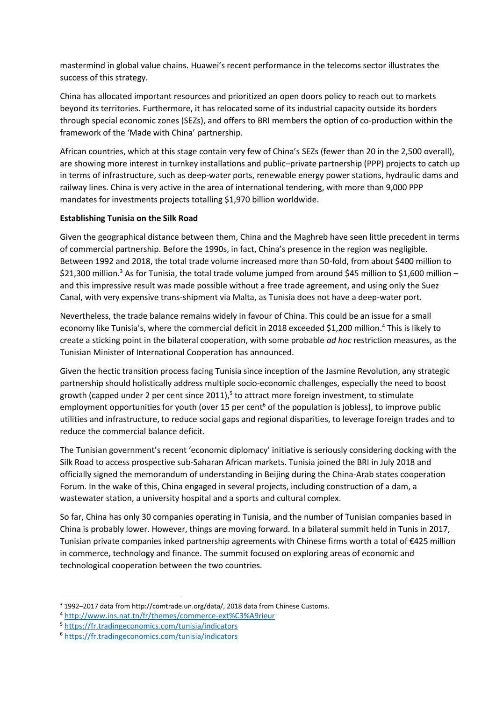mastermind in global value chains. Huawei's recent performance in the telecoms sector illustrates the success of this strategy.

China has allocated important resources and prioritized an open doors policy to reach out to markets beyond its territories. Furthermore, it has relocated some of its industrial capacity outside its borders through special economic zones (SEZs), and offers to BRI members the option of co-production within the framework of the 'Made with China' partnership.

African countries, which at this stage contain very few of China's SEZs (fewer than 20 in the 2,500 overall), are showing more interest in turnkey installations and public–private partnership (PPP) projects to catch up in terms of infrastructure, such as deep-water ports, renewable energy power stations, hydraulic dams and railway lines. China is very active in the area of international tendering, with more than 9,000 PPP mandates for investments projects totalling \$1,970 billion worldwide.

## **Establishing Tunisia on the Silk Road**

Given the geographical distance between them, China and the Maghreb have seen little precedent in terms of commercial partnership. Before the 1990s, in fact, China's presence in the region was negligible. Between 1992 and 2018, the total trade volume increased more than 50-fold, from about \$400 million to \$21,300 million.<sup>3</sup> As for Tunisia, the total trade volume jumped from around \$45 million to \$1,600 million – and this impressive result was made possible without a free trade agreement, and using only the Suez Canal, with very expensive trans-shipment via Malta, as Tunisia does not have a deep-water port.

Nevertheless, the trade balance remains widely in favour of China. This could be an issue for a small economy like Tunisia's, where the commercial deficit in 2018 exceeded \$1,200 million.<sup>4</sup> This is likely to create a sticking point in the bilateral cooperation, with some probable *ad hoc* restriction measures, as the Tunisian Minister of International Cooperation has announced.

Given the hectic transition process facing Tunisia since inception of the Jasmine Revolution, any strategic partnership should holistically address multiple socio-economic challenges, especially the need to boost growth (capped under 2 per cent since 2011),<sup>5</sup> to attract more foreign investment, to stimulate employment opportunities for youth (over 15 per cent<sup>6</sup> of the population is jobless), to improve public utilities and infrastructure, to reduce social gaps and regional disparities, to leverage foreign trades and to reduce the commercial balance deficit.

The Tunisian government's recent 'economic diplomacy' initiative is seriously considering docking with the Silk Road to access prospective sub-Saharan African markets. Tunisia joined the BRI in July 2018 and officially signed the memorandum of understanding in Beijing during the China-Arab states cooperation Forum. In the wake of this, China engaged in several projects, including construction of a dam, a wastewater station, a university hospital and a sports and cultural complex.

So far, China has only 30 companies operating in Tunisia, and the number of Tunisian companies based in China is probably lower. However, things are moving forward. In a bilateral summit held in Tunis in 2017, Tunisian private companies inked partnership agreements with Chinese firms worth a total of €425 million in commerce, technology and finance. The summit focused on exploring areas of economic and technological cooperation between the two countries.

<sup>3</sup> 1992–2017 data from http://comtrade.un.org/data/, 2018 data from Chinese Customs.

<sup>4</sup> <http://www.ins.nat.tn/fr/themes/commerce-ext%C3%A9rieur>

<sup>5</sup> <https://fr.tradingeconomics.com/tunisia/indicators>

<sup>6</sup> <https://fr.tradingeconomics.com/tunisia/indicators>